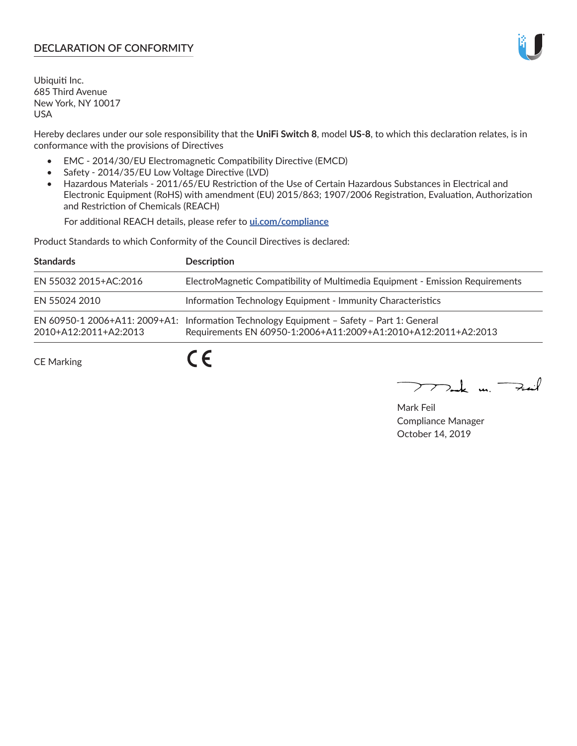## **DECLARATION OF CONFORMITY**

Ubiquiti Inc. 685 Third Avenue New York, NY 10017 USA

Hereby declares under our sole responsibility that the **UniFi Switch 8**, model **US-8**, to which this declaration relates, is in conformance with the provisions of Directives

- EMC 2014/30/EU Electromagnetic Compatibility Directive (EMCD)
- Safety 2014/35/EU Low Voltage Directive (LVD)
- Hazardous Materials 2011/65/EU Restriction of the Use of Certain Hazardous Substances in Electrical and Electronic Equipment (RoHS) with amendment (EU) 2015/863; 1907/2006 Registration, Evaluation, Authorization and Restriction of Chemicals (REACH)

For additional REACH details, please refer to **[ui.com/compliance](https://dl.ui.com/compliance/REACH_Compliance_Declaration.pdf)**

Product Standards to which Conformity of the Council Directives is declared:

| <b>Standards</b>      | <b>Description</b>                                                                                                                                          |
|-----------------------|-------------------------------------------------------------------------------------------------------------------------------------------------------------|
| EN 55032 2015+AC:2016 | ElectroMagnetic Compatibility of Multimedia Equipment - Emission Requirements                                                                               |
| EN 55024 2010         | Information Technology Equipment - Immunity Characteristics                                                                                                 |
| 2010+A12:2011+A2:2013 | EN 60950-1 2006+A11: 2009+A1: Information Technology Equipment - Safety - Part 1: General<br>Requirements EN 60950-1:2006+A11:2009+A1:2010+A12:2011+A2:2013 |
| <b>CE Marking</b>     |                                                                                                                                                             |

Mak m. Fail

Mark Feil Compliance Manager October 14, 2019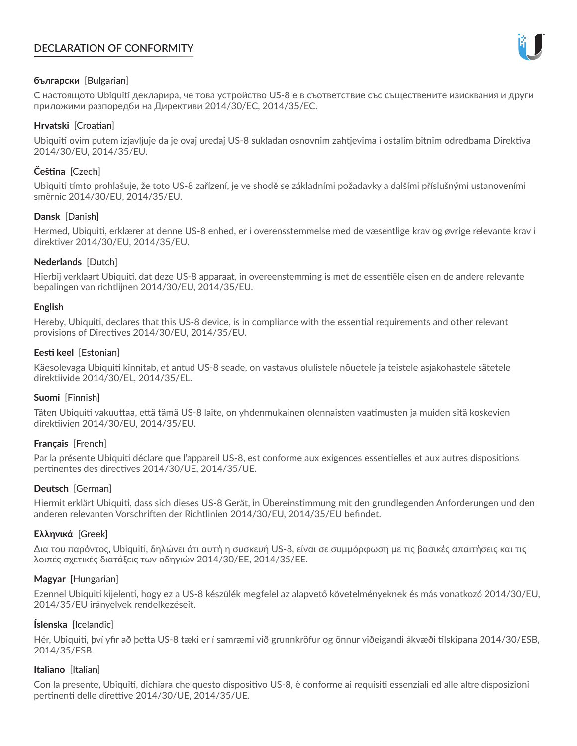# **DECLARATION OF CONFORMITY**



### **български** [Bulgarian]

С настоящото Ubiquiti декларира, че това устройство US-8 е в съответствие със съществените изисквания и други приложими разпоредби на Директиви 2014/30/ЕС, 2014/35/ЕС.

### **Hrvatski** [Croatian]

Ubiquiti ovim putem izjavljuje da je ovaj uređaj US-8 sukladan osnovnim zahtjevima i ostalim bitnim odredbama Direktiva 2014/30/EU, 2014/35/EU.

# **Čeština** [Czech]

Ubiquiti tímto prohlašuje, že toto US-8 zařízení, je ve shodě se základními požadavky a dalšími příslušnými ustanoveními směrnic 2014/30/EU, 2014/35/EU.

## **Dansk** [Danish]

Hermed, Ubiquiti, erklærer at denne US-8 enhed, er i overensstemmelse med de væsentlige krav og øvrige relevante krav i direktiver 2014/30/EU, 2014/35/EU.

## **Nederlands** [Dutch]

Hierbij verklaart Ubiquiti, dat deze US-8 apparaat, in overeenstemming is met de essentiële eisen en de andere relevante bepalingen van richtlijnen 2014/30/EU, 2014/35/EU.

### **English**

Hereby, Ubiquiti, declares that this US-8 device, is in compliance with the essential requirements and other relevant provisions of Directives 2014/30/EU, 2014/35/EU.

## **Eesti keel** [Estonian]

Käesolevaga Ubiquiti kinnitab, et antud US-8 seade, on vastavus olulistele nõuetele ja teistele asjakohastele sätetele direktiivide 2014/30/EL, 2014/35/EL.

### **Suomi** [Finnish]

Täten Ubiquiti vakuuttaa, että tämä US-8 laite, on yhdenmukainen olennaisten vaatimusten ja muiden sitä koskevien direktiivien 2014/30/EU, 2014/35/EU.

# **Français** [French]

Par la présente Ubiquiti déclare que l'appareil US-8, est conforme aux exigences essentielles et aux autres dispositions pertinentes des directives 2014/30/UE, 2014/35/UE.

# **Deutsch** [German]

Hiermit erklärt Ubiquiti, dass sich dieses US-8 Gerät, in Übereinstimmung mit den grundlegenden Anforderungen und den anderen relevanten Vorschriften der Richtlinien 2014/30/EU, 2014/35/EU befindet.

### **Ελληνικά** [Greek]

Δια του παρόντος, Ubiquiti, δηλώνει ότι αυτή η συσκευή US-8, είναι σε συμμόρφωση με τις βασικές απαιτήσεις και τις λοιπές σχετικές διατάξεις των οδηγιών 2014/30/EE, 2014/35/EE.

### **Magyar** [Hungarian]

Ezennel Ubiquiti kijelenti, hogy ez a US-8 készülék megfelel az alapvető követelményeknek és más vonatkozó 2014/30/EU, 2014/35/EU irányelvek rendelkezéseit.

### **Íslenska** [Icelandic]

Hér, Ubiquiti, því yfir að þetta US-8 tæki er í samræmi við grunnkröfur og önnur viðeigandi ákvæði tilskipana 2014/30/ESB, 2014/35/ESB.

### **Italiano** [Italian]

Con la presente, Ubiquiti, dichiara che questo dispositivo US-8, è conforme ai requisiti essenziali ed alle altre disposizioni pertinenti delle direttive 2014/30/UE, 2014/35/UE.